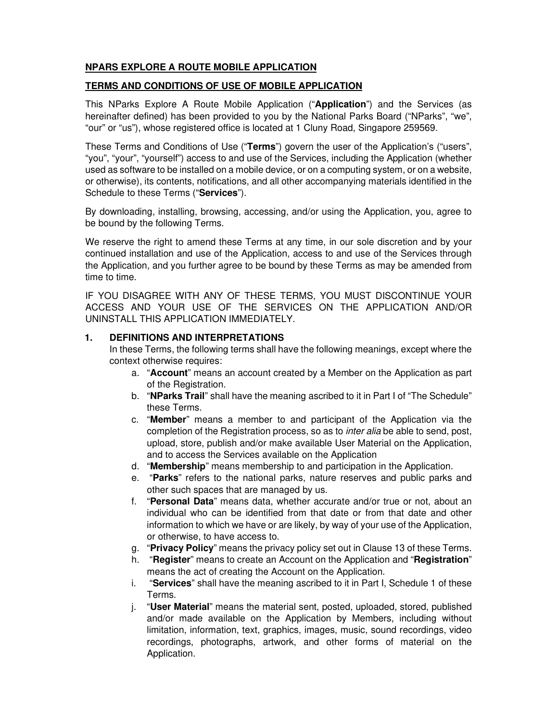# **NPARS EXPLORE A ROUTE MOBILE APPLICATION**

#### **TERMS AND CONDITIONS OF USE OF MOBILE APPLICATION**

This NParks Explore A Route Mobile Application ("**Application**") and the Services (as hereinafter defined) has been provided to you by the National Parks Board ("NParks", "we", "our" or "us"), whose registered office is located at 1 Cluny Road, Singapore 259569.

These Terms and Conditions of Use ("**Terms**") govern the user of the Application's ("users", "you", "your", "yourself") access to and use of the Services, including the Application (whether used as software to be installed on a mobile device, or on a computing system, or on a website, or otherwise), its contents, notifications, and all other accompanying materials identified in the Schedule to these Terms ("**Services**").

By downloading, installing, browsing, accessing, and/or using the Application, you, agree to be bound by the following Terms.

We reserve the right to amend these Terms at any time, in our sole discretion and by your continued installation and use of the Application, access to and use of the Services through the Application, and you further agree to be bound by these Terms as may be amended from time to time.

IF YOU DISAGREE WITH ANY OF THESE TERMS, YOU MUST DISCONTINUE YOUR ACCESS AND YOUR USE OF THE SERVICES ON THE APPLICATION AND/OR UNINSTALL THIS APPLICATION IMMEDIATELY.

#### **1. DEFINITIONS AND INTERPRETATIONS**

In these Terms, the following terms shall have the following meanings, except where the context otherwise requires:

- a. "**Account**" means an account created by a Member on the Application as part of the Registration.
- b. "**NParks Trail**" shall have the meaning ascribed to it in Part I of "The Schedule" these Terms.
- c. "**Member**" means a member to and participant of the Application via the completion of the Registration process, so as to inter alia be able to send, post, upload, store, publish and/or make available User Material on the Application, and to access the Services available on the Application
- d. "**Membership**" means membership to and participation in the Application.
- e. "**Parks**" refers to the national parks, nature reserves and public parks and other such spaces that are managed by us.
- f. "**Personal Data**" means data, whether accurate and/or true or not, about an individual who can be identified from that date or from that date and other information to which we have or are likely, by way of your use of the Application, or otherwise, to have access to.
- g. "**Privacy Policy**" means the privacy policy set out in Clause 13 of these Terms.
- h. "**Register**" means to create an Account on the Application and "**Registration**" means the act of creating the Account on the Application.
- i. "**Services**" shall have the meaning ascribed to it in Part I, Schedule 1 of these Terms.
- j. "**User Material**" means the material sent, posted, uploaded, stored, published and/or made available on the Application by Members, including without limitation, information, text, graphics, images, music, sound recordings, video recordings, photographs, artwork, and other forms of material on the Application.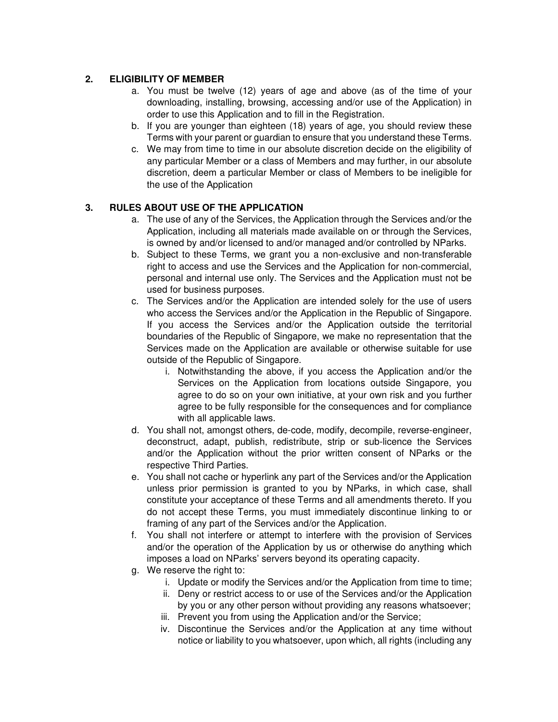### **2. ELIGIBILITY OF MEMBER**

- a. You must be twelve (12) years of age and above (as of the time of your downloading, installing, browsing, accessing and/or use of the Application) in order to use this Application and to fill in the Registration.
- b. If you are younger than eighteen (18) years of age, you should review these Terms with your parent or guardian to ensure that you understand these Terms.
- c. We may from time to time in our absolute discretion decide on the eligibility of any particular Member or a class of Members and may further, in our absolute discretion, deem a particular Member or class of Members to be ineligible for the use of the Application

# **3. RULES ABOUT USE OF THE APPLICATION**

- a. The use of any of the Services, the Application through the Services and/or the Application, including all materials made available on or through the Services, is owned by and/or licensed to and/or managed and/or controlled by NParks.
- b. Subject to these Terms, we grant you a non-exclusive and non-transferable right to access and use the Services and the Application for non-commercial, personal and internal use only. The Services and the Application must not be used for business purposes.
- c. The Services and/or the Application are intended solely for the use of users who access the Services and/or the Application in the Republic of Singapore. If you access the Services and/or the Application outside the territorial boundaries of the Republic of Singapore, we make no representation that the Services made on the Application are available or otherwise suitable for use outside of the Republic of Singapore.
	- i. Notwithstanding the above, if you access the Application and/or the Services on the Application from locations outside Singapore, you agree to do so on your own initiative, at your own risk and you further agree to be fully responsible for the consequences and for compliance with all applicable laws.
- d. You shall not, amongst others, de-code, modify, decompile, reverse-engineer, deconstruct, adapt, publish, redistribute, strip or sub-licence the Services and/or the Application without the prior written consent of NParks or the respective Third Parties.
- e. You shall not cache or hyperlink any part of the Services and/or the Application unless prior permission is granted to you by NParks, in which case, shall constitute your acceptance of these Terms and all amendments thereto. If you do not accept these Terms, you must immediately discontinue linking to or framing of any part of the Services and/or the Application.
- f. You shall not interfere or attempt to interfere with the provision of Services and/or the operation of the Application by us or otherwise do anything which imposes a load on NParks' servers beyond its operating capacity.
- g. We reserve the right to:
	- i. Update or modify the Services and/or the Application from time to time;
	- ii. Deny or restrict access to or use of the Services and/or the Application by you or any other person without providing any reasons whatsoever;
	- iii. Prevent you from using the Application and/or the Service;
	- iv. Discontinue the Services and/or the Application at any time without notice or liability to you whatsoever, upon which, all rights (including any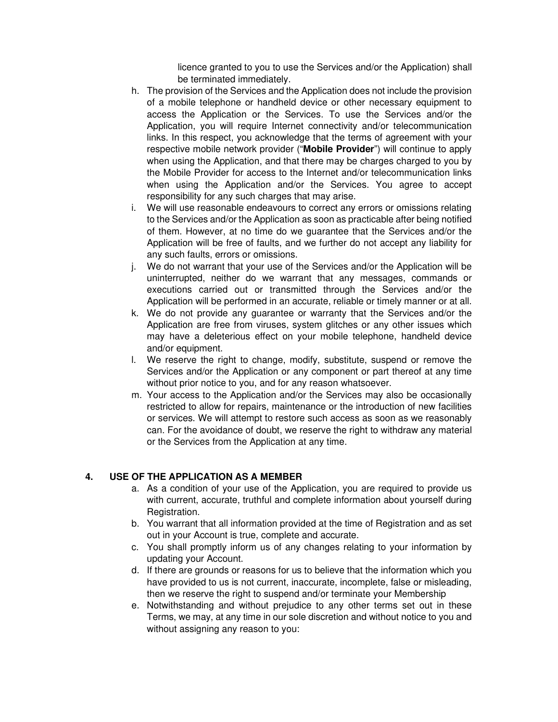licence granted to you to use the Services and/or the Application) shall be terminated immediately.

- h. The provision of the Services and the Application does not include the provision of a mobile telephone or handheld device or other necessary equipment to access the Application or the Services. To use the Services and/or the Application, you will require Internet connectivity and/or telecommunication links. In this respect, you acknowledge that the terms of agreement with your respective mobile network provider ("**Mobile Provider**") will continue to apply when using the Application, and that there may be charges charged to you by the Mobile Provider for access to the Internet and/or telecommunication links when using the Application and/or the Services. You agree to accept responsibility for any such charges that may arise.
- i. We will use reasonable endeavours to correct any errors or omissions relating to the Services and/or the Application as soon as practicable after being notified of them. However, at no time do we guarantee that the Services and/or the Application will be free of faults, and we further do not accept any liability for any such faults, errors or omissions.
- j. We do not warrant that your use of the Services and/or the Application will be uninterrupted, neither do we warrant that any messages, commands or executions carried out or transmitted through the Services and/or the Application will be performed in an accurate, reliable or timely manner or at all.
- k. We do not provide any guarantee or warranty that the Services and/or the Application are free from viruses, system glitches or any other issues which may have a deleterious effect on your mobile telephone, handheld device and/or equipment.
- l. We reserve the right to change, modify, substitute, suspend or remove the Services and/or the Application or any component or part thereof at any time without prior notice to you, and for any reason whatsoever.
- m. Your access to the Application and/or the Services may also be occasionally restricted to allow for repairs, maintenance or the introduction of new facilities or services. We will attempt to restore such access as soon as we reasonably can. For the avoidance of doubt, we reserve the right to withdraw any material or the Services from the Application at any time.

# **4. USE OF THE APPLICATION AS A MEMBER**

- a. As a condition of your use of the Application, you are required to provide us with current, accurate, truthful and complete information about yourself during Registration.
- b. You warrant that all information provided at the time of Registration and as set out in your Account is true, complete and accurate.
- c. You shall promptly inform us of any changes relating to your information by updating your Account.
- d. If there are grounds or reasons for us to believe that the information which you have provided to us is not current, inaccurate, incomplete, false or misleading, then we reserve the right to suspend and/or terminate your Membership
- e. Notwithstanding and without prejudice to any other terms set out in these Terms, we may, at any time in our sole discretion and without notice to you and without assigning any reason to you: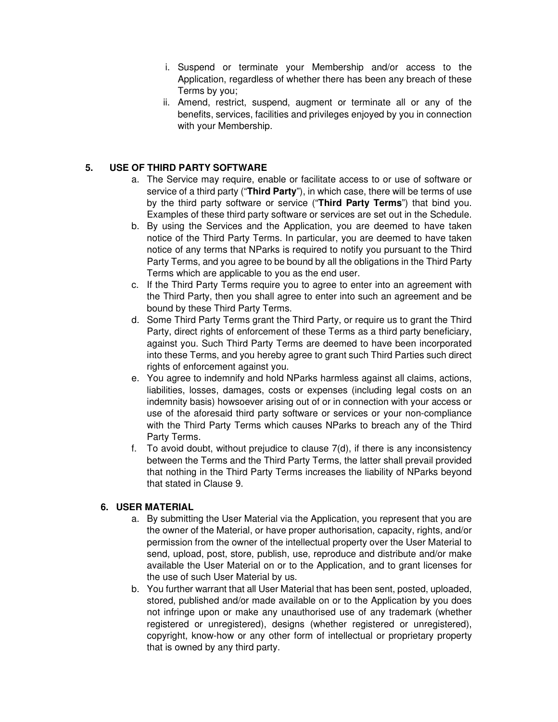- i. Suspend or terminate your Membership and/or access to the Application, regardless of whether there has been any breach of these Terms by you;
- ii. Amend, restrict, suspend, augment or terminate all or any of the benefits, services, facilities and privileges enjoyed by you in connection with your Membership.

# **5. USE OF THIRD PARTY SOFTWARE**

- a. The Service may require, enable or facilitate access to or use of software or service of a third party ("**Third Party**"), in which case, there will be terms of use by the third party software or service ("**Third Party Terms**") that bind you. Examples of these third party software or services are set out in the Schedule.
- b. By using the Services and the Application, you are deemed to have taken notice of the Third Party Terms. In particular, you are deemed to have taken notice of any terms that NParks is required to notify you pursuant to the Third Party Terms, and you agree to be bound by all the obligations in the Third Party Terms which are applicable to you as the end user.
- c. If the Third Party Terms require you to agree to enter into an agreement with the Third Party, then you shall agree to enter into such an agreement and be bound by these Third Party Terms.
- d. Some Third Party Terms grant the Third Party, or require us to grant the Third Party, direct rights of enforcement of these Terms as a third party beneficiary, against you. Such Third Party Terms are deemed to have been incorporated into these Terms, and you hereby agree to grant such Third Parties such direct rights of enforcement against you.
- e. You agree to indemnify and hold NParks harmless against all claims, actions, liabilities, losses, damages, costs or expenses (including legal costs on an indemnity basis) howsoever arising out of or in connection with your access or use of the aforesaid third party software or services or your non-compliance with the Third Party Terms which causes NParks to breach any of the Third Party Terms.
- f. To avoid doubt, without prejudice to clause 7(d), if there is any inconsistency between the Terms and the Third Party Terms, the latter shall prevail provided that nothing in the Third Party Terms increases the liability of NParks beyond that stated in Clause 9.

# **6. USER MATERIAL**

- a. By submitting the User Material via the Application, you represent that you are the owner of the Material, or have proper authorisation, capacity, rights, and/or permission from the owner of the intellectual property over the User Material to send, upload, post, store, publish, use, reproduce and distribute and/or make available the User Material on or to the Application, and to grant licenses for the use of such User Material by us.
- b. You further warrant that all User Material that has been sent, posted, uploaded, stored, published and/or made available on or to the Application by you does not infringe upon or make any unauthorised use of any trademark (whether registered or unregistered), designs (whether registered or unregistered), copyright, know-how or any other form of intellectual or proprietary property that is owned by any third party.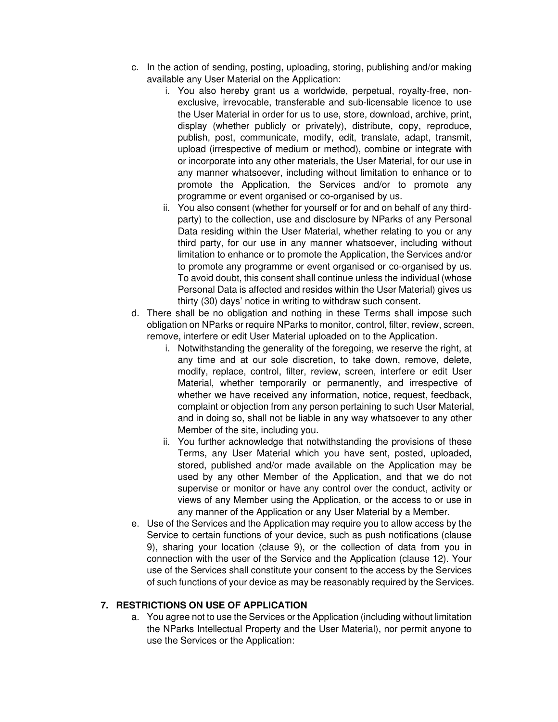- c. In the action of sending, posting, uploading, storing, publishing and/or making available any User Material on the Application:
	- i. You also hereby grant us a worldwide, perpetual, royalty-free, nonexclusive, irrevocable, transferable and sub-licensable licence to use the User Material in order for us to use, store, download, archive, print, display (whether publicly or privately), distribute, copy, reproduce, publish, post, communicate, modify, edit, translate, adapt, transmit, upload (irrespective of medium or method), combine or integrate with or incorporate into any other materials, the User Material, for our use in any manner whatsoever, including without limitation to enhance or to promote the Application, the Services and/or to promote any programme or event organised or co-organised by us.
	- ii. You also consent (whether for yourself or for and on behalf of any thirdparty) to the collection, use and disclosure by NParks of any Personal Data residing within the User Material, whether relating to you or any third party, for our use in any manner whatsoever, including without limitation to enhance or to promote the Application, the Services and/or to promote any programme or event organised or co-organised by us. To avoid doubt, this consent shall continue unless the individual (whose Personal Data is affected and resides within the User Material) gives us thirty (30) days' notice in writing to withdraw such consent.
- d. There shall be no obligation and nothing in these Terms shall impose such obligation on NParks or require NParks to monitor, control, filter, review, screen, remove, interfere or edit User Material uploaded on to the Application.
	- i. Notwithstanding the generality of the foregoing, we reserve the right, at any time and at our sole discretion, to take down, remove, delete, modify, replace, control, filter, review, screen, interfere or edit User Material, whether temporarily or permanently, and irrespective of whether we have received any information, notice, request, feedback, complaint or objection from any person pertaining to such User Material, and in doing so, shall not be liable in any way whatsoever to any other Member of the site, including you.
	- ii. You further acknowledge that notwithstanding the provisions of these Terms, any User Material which you have sent, posted, uploaded, stored, published and/or made available on the Application may be used by any other Member of the Application, and that we do not supervise or monitor or have any control over the conduct, activity or views of any Member using the Application, or the access to or use in any manner of the Application or any User Material by a Member.
- e. Use of the Services and the Application may require you to allow access by the Service to certain functions of your device, such as push notifications (clause 9), sharing your location (clause 9), or the collection of data from you in connection with the user of the Service and the Application (clause 12). Your use of the Services shall constitute your consent to the access by the Services of such functions of your device as may be reasonably required by the Services.

#### **7. RESTRICTIONS ON USE OF APPLICATION**

a. You agree not to use the Services or the Application (including without limitation the NParks Intellectual Property and the User Material), nor permit anyone to use the Services or the Application: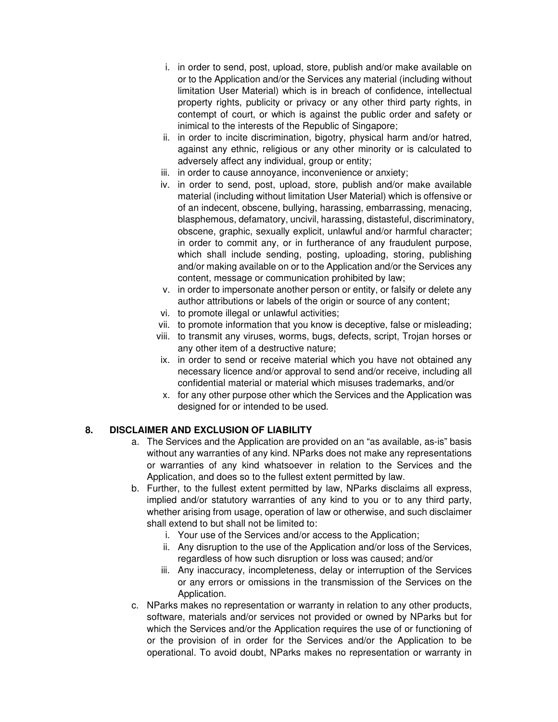- i. in order to send, post, upload, store, publish and/or make available on or to the Application and/or the Services any material (including without limitation User Material) which is in breach of confidence, intellectual property rights, publicity or privacy or any other third party rights, in contempt of court, or which is against the public order and safety or inimical to the interests of the Republic of Singapore;
- ii. in order to incite discrimination, bigotry, physical harm and/or hatred, against any ethnic, religious or any other minority or is calculated to adversely affect any individual, group or entity;
- iii. in order to cause annoyance, inconvenience or anxiety;
- iv. in order to send, post, upload, store, publish and/or make available material (including without limitation User Material) which is offensive or of an indecent, obscene, bullying, harassing, embarrassing, menacing, blasphemous, defamatory, uncivil, harassing, distasteful, discriminatory, obscene, graphic, sexually explicit, unlawful and/or harmful character; in order to commit any, or in furtherance of any fraudulent purpose, which shall include sending, posting, uploading, storing, publishing and/or making available on or to the Application and/or the Services any content, message or communication prohibited by law;
- v. in order to impersonate another person or entity, or falsify or delete any author attributions or labels of the origin or source of any content;
- vi. to promote illegal or unlawful activities;
- vii. to promote information that you know is deceptive, false or misleading;
- viii. to transmit any viruses, worms, bugs, defects, script, Trojan horses or any other item of a destructive nature;
- ix. in order to send or receive material which you have not obtained any necessary licence and/or approval to send and/or receive, including all confidential material or material which misuses trademarks, and/or
- x. for any other purpose other which the Services and the Application was designed for or intended to be used.

#### **8. DISCLAIMER AND EXCLUSION OF LIABILITY**

- a. The Services and the Application are provided on an "as available, as-is" basis without any warranties of any kind. NParks does not make any representations or warranties of any kind whatsoever in relation to the Services and the Application, and does so to the fullest extent permitted by law.
- b. Further, to the fullest extent permitted by law, NParks disclaims all express, implied and/or statutory warranties of any kind to you or to any third party, whether arising from usage, operation of law or otherwise, and such disclaimer shall extend to but shall not be limited to:
	- i. Your use of the Services and/or access to the Application;
	- ii. Any disruption to the use of the Application and/or loss of the Services, regardless of how such disruption or loss was caused; and/or
	- iii. Any inaccuracy, incompleteness, delay or interruption of the Services or any errors or omissions in the transmission of the Services on the Application.
- c. NParks makes no representation or warranty in relation to any other products, software, materials and/or services not provided or owned by NParks but for which the Services and/or the Application requires the use of or functioning of or the provision of in order for the Services and/or the Application to be operational. To avoid doubt, NParks makes no representation or warranty in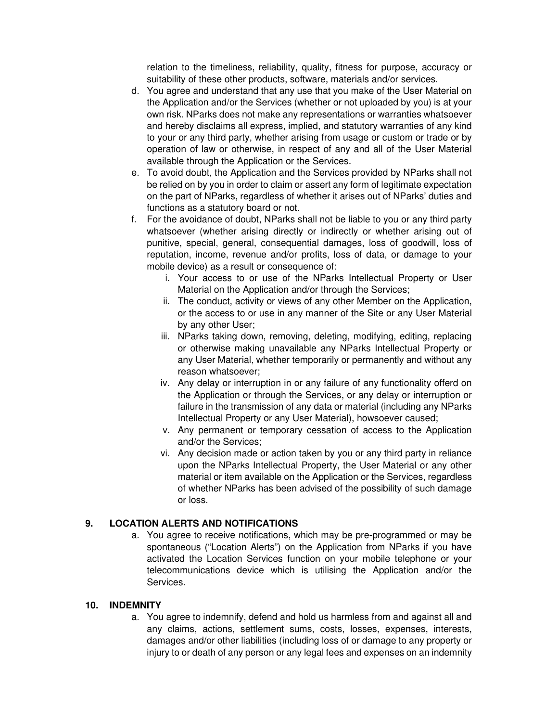relation to the timeliness, reliability, quality, fitness for purpose, accuracy or suitability of these other products, software, materials and/or services.

- d. You agree and understand that any use that you make of the User Material on the Application and/or the Services (whether or not uploaded by you) is at your own risk. NParks does not make any representations or warranties whatsoever and hereby disclaims all express, implied, and statutory warranties of any kind to your or any third party, whether arising from usage or custom or trade or by operation of law or otherwise, in respect of any and all of the User Material available through the Application or the Services.
- e. To avoid doubt, the Application and the Services provided by NParks shall not be relied on by you in order to claim or assert any form of legitimate expectation on the part of NParks, regardless of whether it arises out of NParks' duties and functions as a statutory board or not.
- f. For the avoidance of doubt, NParks shall not be liable to you or any third party whatsoever (whether arising directly or indirectly or whether arising out of punitive, special, general, consequential damages, loss of goodwill, loss of reputation, income, revenue and/or profits, loss of data, or damage to your mobile device) as a result or consequence of:
	- i. Your access to or use of the NParks Intellectual Property or User Material on the Application and/or through the Services;
	- ii. The conduct, activity or views of any other Member on the Application, or the access to or use in any manner of the Site or any User Material by any other User;
	- iii. NParks taking down, removing, deleting, modifying, editing, replacing or otherwise making unavailable any NParks Intellectual Property or any User Material, whether temporarily or permanently and without any reason whatsoever;
	- iv. Any delay or interruption in or any failure of any functionality offerd on the Application or through the Services, or any delay or interruption or failure in the transmission of any data or material (including any NParks Intellectual Property or any User Material), howsoever caused;
	- v. Any permanent or temporary cessation of access to the Application and/or the Services;
	- vi. Any decision made or action taken by you or any third party in reliance upon the NParks Intellectual Property, the User Material or any other material or item available on the Application or the Services, regardless of whether NParks has been advised of the possibility of such damage or loss.

# **9. LOCATION ALERTS AND NOTIFICATIONS**

a. You agree to receive notifications, which may be pre-programmed or may be spontaneous ("Location Alerts") on the Application from NParks if you have activated the Location Services function on your mobile telephone or your telecommunications device which is utilising the Application and/or the Services.

# **10. INDEMNITY**

a. You agree to indemnify, defend and hold us harmless from and against all and any claims, actions, settlement sums, costs, losses, expenses, interests, damages and/or other liabilities (including loss of or damage to any property or injury to or death of any person or any legal fees and expenses on an indemnity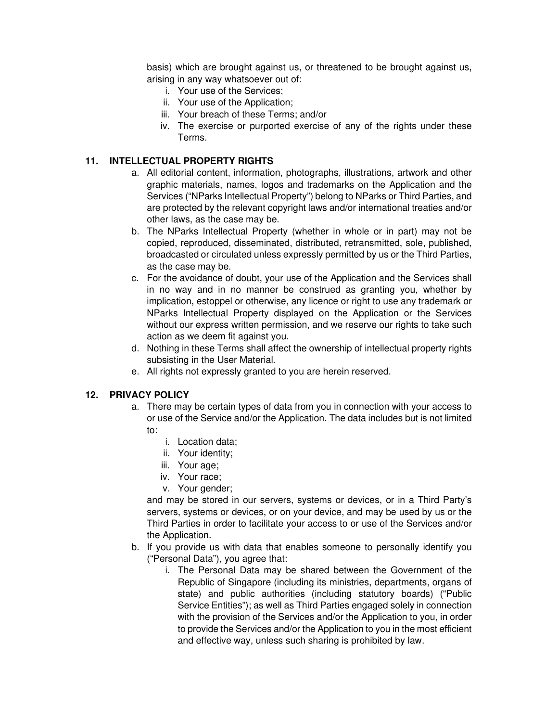basis) which are brought against us, or threatened to be brought against us, arising in any way whatsoever out of:

- i. Your use of the Services;
- ii. Your use of the Application;
- iii. Your breach of these Terms; and/or
- iv. The exercise or purported exercise of any of the rights under these Terms.

#### **11. INTELLECTUAL PROPERTY RIGHTS**

- a. All editorial content, information, photographs, illustrations, artwork and other graphic materials, names, logos and trademarks on the Application and the Services ("NParks Intellectual Property") belong to NParks or Third Parties, and are protected by the relevant copyright laws and/or international treaties and/or other laws, as the case may be.
- b. The NParks Intellectual Property (whether in whole or in part) may not be copied, reproduced, disseminated, distributed, retransmitted, sole, published, broadcasted or circulated unless expressly permitted by us or the Third Parties, as the case may be.
- c. For the avoidance of doubt, your use of the Application and the Services shall in no way and in no manner be construed as granting you, whether by implication, estoppel or otherwise, any licence or right to use any trademark or NParks Intellectual Property displayed on the Application or the Services without our express written permission, and we reserve our rights to take such action as we deem fit against you.
- d. Nothing in these Terms shall affect the ownership of intellectual property rights subsisting in the User Material.
- e. All rights not expressly granted to you are herein reserved.

#### **12. PRIVACY POLICY**

- a. There may be certain types of data from you in connection with your access to or use of the Service and/or the Application. The data includes but is not limited to:
	- i. Location data;
	- ii. Your identity;
	- iii. Your age;
	- iv. Your race;
	- v. Your gender;

and may be stored in our servers, systems or devices, or in a Third Party's servers, systems or devices, or on your device, and may be used by us or the Third Parties in order to facilitate your access to or use of the Services and/or the Application.

- b. If you provide us with data that enables someone to personally identify you ("Personal Data"), you agree that:
	- i. The Personal Data may be shared between the Government of the Republic of Singapore (including its ministries, departments, organs of state) and public authorities (including statutory boards) ("Public Service Entities"); as well as Third Parties engaged solely in connection with the provision of the Services and/or the Application to you, in order to provide the Services and/or the Application to you in the most efficient and effective way, unless such sharing is prohibited by law.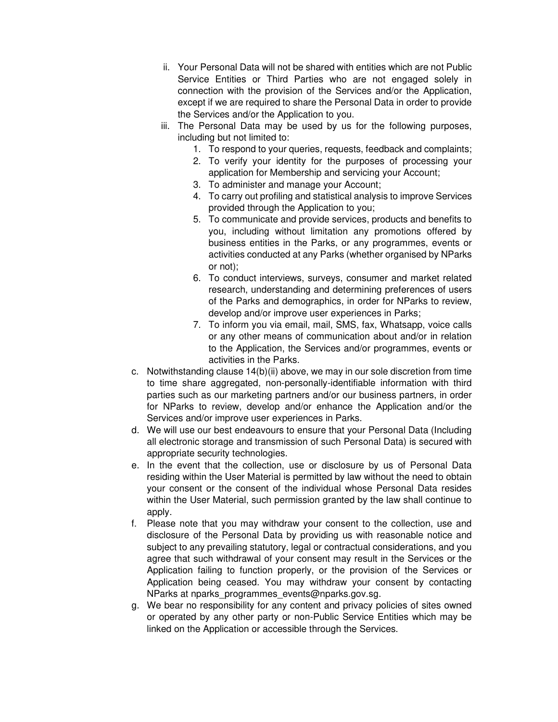- ii. Your Personal Data will not be shared with entities which are not Public Service Entities or Third Parties who are not engaged solely in connection with the provision of the Services and/or the Application, except if we are required to share the Personal Data in order to provide the Services and/or the Application to you.
- iii. The Personal Data may be used by us for the following purposes, including but not limited to:
	- 1. To respond to your queries, requests, feedback and complaints;
	- 2. To verify your identity for the purposes of processing your application for Membership and servicing your Account;
	- 3. To administer and manage your Account;
	- 4. To carry out profiling and statistical analysis to improve Services provided through the Application to you;
	- 5. To communicate and provide services, products and benefits to you, including without limitation any promotions offered by business entities in the Parks, or any programmes, events or activities conducted at any Parks (whether organised by NParks or not);
	- 6. To conduct interviews, surveys, consumer and market related research, understanding and determining preferences of users of the Parks and demographics, in order for NParks to review, develop and/or improve user experiences in Parks;
	- 7. To inform you via email, mail, SMS, fax, Whatsapp, voice calls or any other means of communication about and/or in relation to the Application, the Services and/or programmes, events or activities in the Parks.
- c. Notwithstanding clause  $14(b)(ii)$  above, we may in our sole discretion from time to time share aggregated, non-personally-identifiable information with third parties such as our marketing partners and/or our business partners, in order for NParks to review, develop and/or enhance the Application and/or the Services and/or improve user experiences in Parks.
- d. We will use our best endeavours to ensure that your Personal Data (Including all electronic storage and transmission of such Personal Data) is secured with appropriate security technologies.
- e. In the event that the collection, use or disclosure by us of Personal Data residing within the User Material is permitted by law without the need to obtain your consent or the consent of the individual whose Personal Data resides within the User Material, such permission granted by the law shall continue to apply.
- f. Please note that you may withdraw your consent to the collection, use and disclosure of the Personal Data by providing us with reasonable notice and subject to any prevailing statutory, legal or contractual considerations, and you agree that such withdrawal of your consent may result in the Services or the Application failing to function properly, or the provision of the Services or Application being ceased. You may withdraw your consent by contacting NParks at nparks\_programmes\_events@nparks.gov.sg.
- g. We bear no responsibility for any content and privacy policies of sites owned or operated by any other party or non-Public Service Entities which may be linked on the Application or accessible through the Services.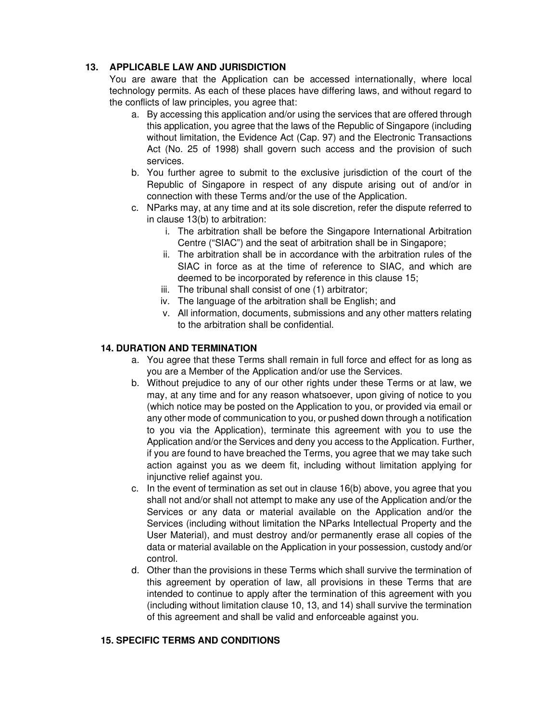# **13. APPLICABLE LAW AND JURISDICTION**

You are aware that the Application can be accessed internationally, where local technology permits. As each of these places have differing laws, and without regard to the conflicts of law principles, you agree that:

- a. By accessing this application and/or using the services that are offered through this application, you agree that the laws of the Republic of Singapore (including without limitation, the Evidence Act (Cap. 97) and the Electronic Transactions Act (No. 25 of 1998) shall govern such access and the provision of such services.
- b. You further agree to submit to the exclusive jurisdiction of the court of the Republic of Singapore in respect of any dispute arising out of and/or in connection with these Terms and/or the use of the Application.
- c. NParks may, at any time and at its sole discretion, refer the dispute referred to in clause 13(b) to arbitration:
	- i. The arbitration shall be before the Singapore International Arbitration Centre ("SIAC") and the seat of arbitration shall be in Singapore;
	- ii. The arbitration shall be in accordance with the arbitration rules of the SIAC in force as at the time of reference to SIAC, and which are deemed to be incorporated by reference in this clause 15;
	- iii. The tribunal shall consist of one (1) arbitrator;
	- iv. The language of the arbitration shall be English; and
	- v. All information, documents, submissions and any other matters relating to the arbitration shall be confidential.

#### **14. DURATION AND TERMINATION**

- a. You agree that these Terms shall remain in full force and effect for as long as you are a Member of the Application and/or use the Services.
- b. Without prejudice to any of our other rights under these Terms or at law, we may, at any time and for any reason whatsoever, upon giving of notice to you (which notice may be posted on the Application to you, or provided via email or any other mode of communication to you, or pushed down through a notification to you via the Application), terminate this agreement with you to use the Application and/or the Services and deny you access to the Application. Further, if you are found to have breached the Terms, you agree that we may take such action against you as we deem fit, including without limitation applying for injunctive relief against you.
- c. In the event of termination as set out in clause 16(b) above, you agree that you shall not and/or shall not attempt to make any use of the Application and/or the Services or any data or material available on the Application and/or the Services (including without limitation the NParks Intellectual Property and the User Material), and must destroy and/or permanently erase all copies of the data or material available on the Application in your possession, custody and/or control.
- d. Other than the provisions in these Terms which shall survive the termination of this agreement by operation of law, all provisions in these Terms that are intended to continue to apply after the termination of this agreement with you (including without limitation clause 10, 13, and 14) shall survive the termination of this agreement and shall be valid and enforceable against you.

#### **15. SPECIFIC TERMS AND CONDITIONS**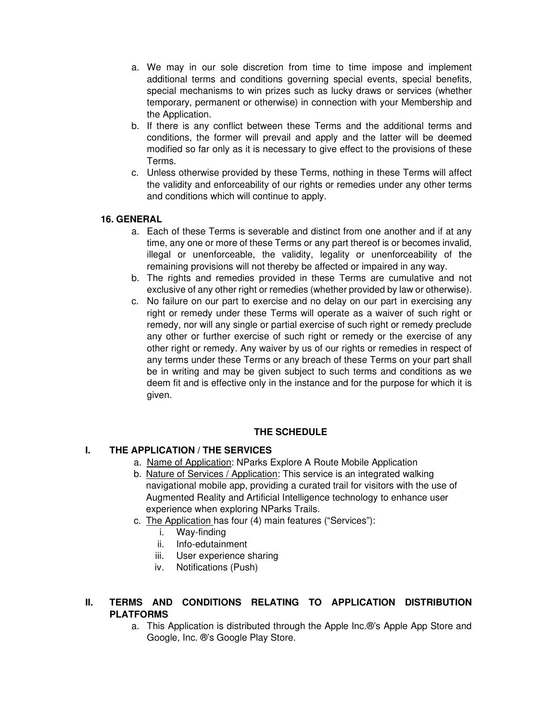- a. We may in our sole discretion from time to time impose and implement additional terms and conditions governing special events, special benefits, special mechanisms to win prizes such as lucky draws or services (whether temporary, permanent or otherwise) in connection with your Membership and the Application.
- b. If there is any conflict between these Terms and the additional terms and conditions, the former will prevail and apply and the latter will be deemed modified so far only as it is necessary to give effect to the provisions of these Terms.
- c. Unless otherwise provided by these Terms, nothing in these Terms will affect the validity and enforceability of our rights or remedies under any other terms and conditions which will continue to apply.

#### **16. GENERAL**

- a. Each of these Terms is severable and distinct from one another and if at any time, any one or more of these Terms or any part thereof is or becomes invalid, illegal or unenforceable, the validity, legality or unenforceability of the remaining provisions will not thereby be affected or impaired in any way.
- b. The rights and remedies provided in these Terms are cumulative and not exclusive of any other right or remedies (whether provided by law or otherwise).
- c. No failure on our part to exercise and no delay on our part in exercising any right or remedy under these Terms will operate as a waiver of such right or remedy, nor will any single or partial exercise of such right or remedy preclude any other or further exercise of such right or remedy or the exercise of any other right or remedy. Any waiver by us of our rights or remedies in respect of any terms under these Terms or any breach of these Terms on your part shall be in writing and may be given subject to such terms and conditions as we deem fit and is effective only in the instance and for the purpose for which it is given.

# **THE SCHEDULE**

# **I. THE APPLICATION / THE SERVICES**

- a. Name of Application: NParks Explore A Route Mobile Application
- b. Nature of Services / Application: This service is an integrated walking navigational mobile app, providing a curated trail for visitors with the use of Augmented Reality and Artificial Intelligence technology to enhance user experience when exploring NParks Trails.
- c. The Application has four (4) main features ("Services"):
	- i. Way-finding
	- ii. Info-edutainment
	- iii. User experience sharing
	- iv. Notifications (Push)

### **II. TERMS AND CONDITIONS RELATING TO APPLICATION DISTRIBUTION PLATFORMS**

a. This Application is distributed through the Apple Inc.®'s Apple App Store and Google, Inc. ®'s Google Play Store.